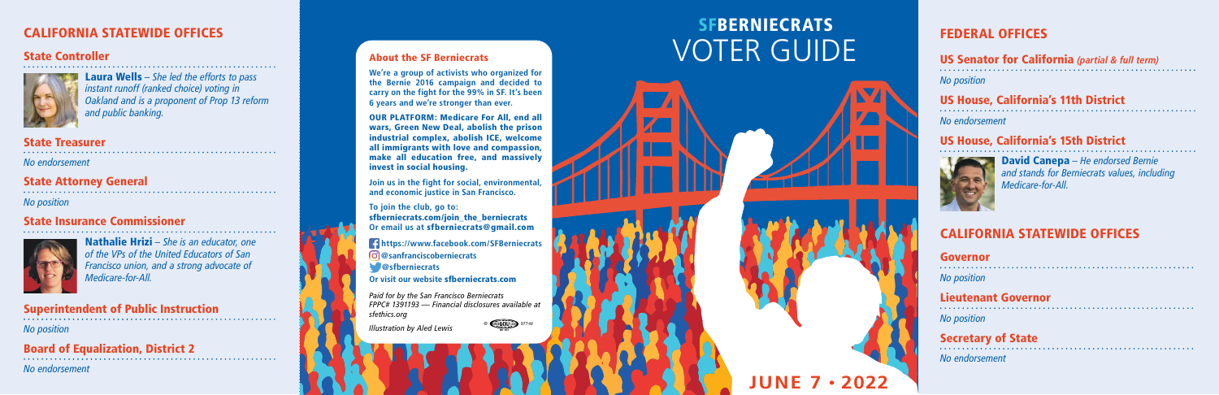### About the SF Berniecrats

**We're a group of activists who organized for the Bernie 2016 campaign and decided to carry on the fight for the 99% in SF. It's been 6 years and we're stronger than ever.** 

OUR PLATFORM: Medicare For All, end all wars, Green New Deal, abolish the prison industrial complex, abolish ICE, welcome all immigrants with love and compassion, make all education free, and massively invest in social housing.

# **SFBERNIECRATS** VOTER GUIDE

**Join us in the fight for social, environmental, and economic justice in San Francisco.** 

**To join the club, go to:** sfberniecrats.com/join\_the\_berniecrats **Or email us at** sfberniecrats@gmail.com

**https://www.facebook.com/SFBerniecrats @sanfranciscoberniecrats**

**@sfberniecrats**

**Or visit our website** sfberniecrats.com

*Paid for by the San Francisco Berniecrats FPPC# 1391193 — Financial disclosures available at sfethics.org*

*Illustration by Aled Lewis*



**JUNE 7 • 2022**

### FEDERAL OFFICES

### CALIFORNIA STATEWIDE OFFICES

### US Senator for California **(partial & full term)**

*No position*

## US House, California's 11th District

*No endorsement*

## US House, California's 15th District



David Canepa *– He endorsed Bernie and stands for Berniecrats values, including Medicare-for-All.*

Governor

*No position*

#### Lieutenant Governor

*No position*

## Secretary of State

*No endorsement*

#### State Controller



Laura Wells *– She led the efforts to pass instant runoff (ranked choice) voting in Oakland and is a proponent of Prop 13 reform and public banking.*

#### State Treasurer

*No endorsement*

## State Attorney General

*No position*

## State Insurance Commissioner



Nathalie Hrizi *– She is an educator, one of the VPs of the United Educators of San Francisco union, and a strong advocate of Medicare-for-All.*

## Superintendent of Public Instruction

*No position*

Board of Equalization, District 2

*No endorsement*

### CALIFORNIA STATEWIDE OFFICES